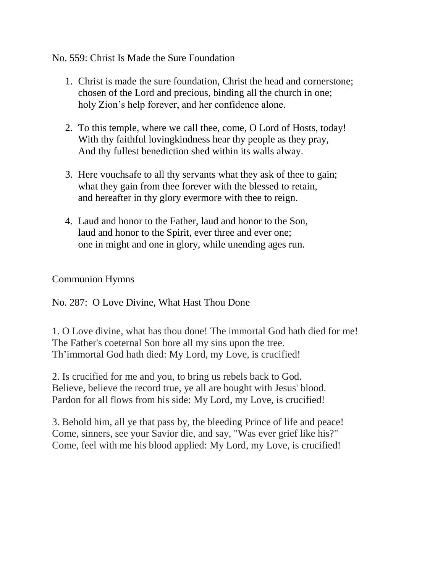## No. 559: Christ Is Made the Sure Foundation

- 1. Christ is made the sure foundation, Christ the head and cornerstone; chosen of the Lord and precious, binding all the church in one; holy Zion's help forever, and her confidence alone.
- 2. To this temple, where we call thee, come, O Lord of Hosts, today! With thy faithful lovingkindness hear thy people as they pray, And thy fullest benediction shed within its walls alway.
- 3. Here vouchsafe to all thy servants what they ask of thee to gain; what they gain from thee forever with the blessed to retain, and hereafter in thy glory evermore with thee to reign.
- 4. Laud and honor to the Father, laud and honor to the Son, laud and honor to the Spirit, ever three and ever one; one in might and one in glory, while unending ages run.

## Communion Hymns

No. 287: O Love Divine, What Hast Thou Done

1. O Love divine, what has thou done! The immortal God hath died for me! The Father's coeternal Son bore all my sins upon the tree. Th'immortal God hath died: My Lord, my Love, is crucified!

2. Is crucified for me and you, to bring us rebels back to God. Believe, believe the record true, ye all are bought with Jesus' blood. Pardon for all flows from his side: My Lord, my Love, is crucified!

3. Behold him, all ye that pass by, the bleeding Prince of life and peace! Come, sinners, see your Savior die, and say, "Was ever grief like his?" Come, feel with me his blood applied: My Lord, my Love, is crucified!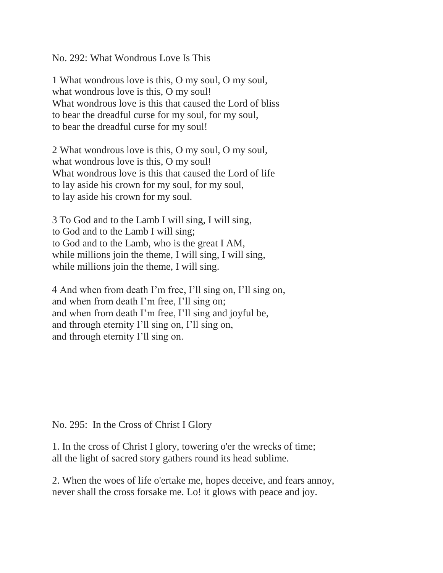No. 292: What Wondrous Love Is This

1 What wondrous love is this, O my soul, O my soul, what wondrous love is this, O my soul! What wondrous love is this that caused the Lord of bliss to bear the dreadful curse for my soul, for my soul, to bear the dreadful curse for my soul!

2 What wondrous love is this, O my soul, O my soul, what wondrous love is this, O my soul! What wondrous love is this that caused the Lord of life to lay aside his crown for my soul, for my soul, to lay aside his crown for my soul.

3 To God and to the Lamb I will sing, I will sing, to God and to the Lamb I will sing; to God and to the Lamb, who is the great I AM, while millions join the theme, I will sing, I will sing, while millions join the theme, I will sing.

4 And when from death I'm free, I'll sing on, I'll sing on, and when from death I'm free, I'll sing on; and when from death I'm free, I'll sing and joyful be, and through eternity I'll sing on, I'll sing on, and through eternity I'll sing on.

No. 295: In the Cross of Christ I Glory

1. In the cross of Christ I glory, towering o'er the wrecks of time; all the light of sacred story gathers round its head sublime.

2. When the woes of life o'ertake me, hopes deceive, and fears annoy, never shall the cross forsake me. Lo! it glows with peace and joy.